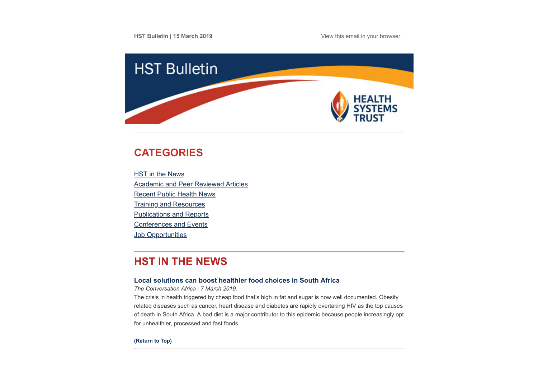**HST Bulletin | 15 March 2019 [View this email in your browser](https://mailchi.mp/16f5fd813f21/hst-bulletin-21-april-731101?e=594c873a38)** 



# <span id="page-0-0"></span>**CATEGORIES**

**HST** in the News [Academic and Peer Reviewed Articles](#page-1-0) [Recent Public Health News](#page-2-0) [Training and Resources](#page-4-0) [Publications and Reports](#page-4-1) [Conferences and Events](#page-4-2) **Job Opportunities** 

# **HST IN THE NEWS**

## **[Local solutions can boost healthier food choices in South Africa](https://theconversation.com/local-solutions-can-boost-healthier-food-choices-in-south-africa-112183)**

*The Conversation Africa | 7 March 2019.*

The crisis in health triggered by cheap food that's high in fat and sugar is now well documented. Obesity related diseases such as cancer, heart disease and diabetes are rapidly overtaking HIV as the top causes of death in South Africa. A bad diet is a major contributor to this epidemic because people increasingly opt for unhealthier, processed and fast foods.

**[\(Return to Top\)](#page-0-0)**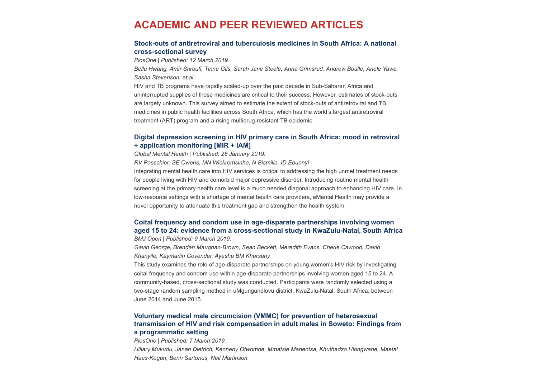# <span id="page-1-0"></span>**ACADEMIC AND PEER REVIEWED ARTICLES**

## **[Stock-outs of antiretroviral and tuberculosis medicines in South Africa: A national](https://journals.plos.org/plosone/article?id=10.1371/journal.pone.0212405) cross-sectional survey**

*PlosOne | Published: 12 March 2019.*

*Bella Hwang, Amir Shroufi, Tinne Gils, Sarah Jane Steele, Anna Grimsrud, Andrew Boulle, Anele Yawa, Sasha Stevenson, et al*

HIV and TB programs have rapidly scaled-up over the past decade in Sub-Saharan Africa and uninterrupted supplies of those medicines are critical to their success. However, estimates of stock-outs are largely unknown. This survey aimed to estimate the extent of stock-outs of antiretroviral and TB medicines in public health facilities across South Africa, which has the world's largest antiretroviral treatment (ART) program and a rising multidrug-resistant TB epidemic.

## **[Digital depression screening in HIV primary care in South Africa: mood in retroviral](https://www.cambridge.org/core/journals/global-mental-health/article/digital-depression-screening-in-hiv-primary-care-in-south-africa-mood-in-retroviral-application-monitoring-mir-iam/8D0D436A15327694EEFE00DDA99F3880/core-reader) + application monitoring [MIR + IAM]**

*Global Mental Health | Published: 28 January 2019.*

*RV Passchier, SE Owens, MN Wickremsinhe, N Bismilla, ID Ebuenyi* Integrating mental health care into HIV services is critical to addressing the high unmet treatment needs for people living with HIV and comorbid major depressive disorder. Introducing routine mental health screening at the primary health care level is a much needed diagonal approach to enhancing HIV care. In low-resource settings with a shortage of mental health care providers, eMental Health may provide a novel opportunity to attenuate this treatment gap and strengthen the health system.

## **Coital frequency and condom use in age-disparate partnerships involving women [aged 15 to 24: evidence from a cross-sectional study in KwaZulu-Natal, South Africa](https://bmjopen.bmj.com/content/9/3/e024362)**

*BMJ Open | Published: 9 March 2019.*

*Gavin George, Brendan Maughan-Brown, Sean Beckett, Meredith Evans, Cherie Cawood, David Khanyile, Kaymarlin Govender, Ayesha BM Kharsany*

This study examines the role of age-disparate partnerships on young women's HIV risk by investigating coital frequency and condom use within age-disparate partnerships involving women aged 15 to 24. A community-based, cross-sectional study was conducted. Participants were randomly selected using a two-stage random sampling method in uMgungundlovu district, KwaZulu-Natal, South Africa, between June 2014 and June 2015.

## **Voluntary medical male circumcision (VMMC) for prevention of heterosexual [transmission of HIV and risk compensation in adult males in Soweto: Findings from](https://journals.plos.org/plosone/article?id=10.1371/journal.pone.0213571) a programmatic setting**

*PlosOne | Published: 7 March 2019.*

*Hillary Mukudu, Janan Dietrich, Kennedy Otwombe, Mmatsie Manentsa, Khuthadzo Hlongwane, Maetal Haas-Kogan, Benn Sartorius, Neil Martinson*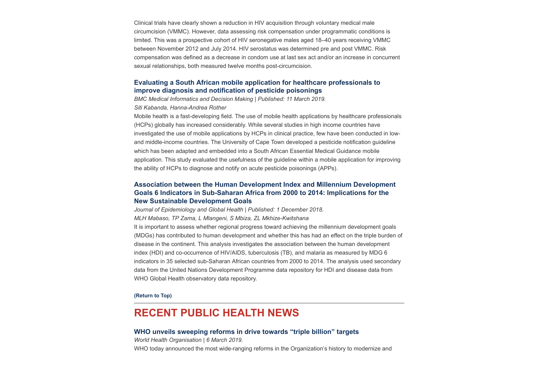Clinical trials have clearly shown a reduction in HIV acquisition through voluntary medical male circumcision (VMMC). However, data assessing risk compensation under programmatic conditions is limited. This was a prospective cohort of HIV seronegative males aged 18–40 years receiving VMMC between November 2012 and July 2014. HIV serostatus was determined pre and post VMMC. Risk compensation was defined as a decrease in condom use at last sex act and/or an increase in concurrent sexual relationships, both measured twelve months post-circumcision.

## **[Evaluating a South African mobile application for healthcare professionals to](https://bmcmedinformdecismak.biomedcentral.com/articles/10.1186/s12911-019-0791-2) improve diagnosis and notification of pesticide poisonings**

*BMC Medical Informatics and Decision Making | Published: 11 March 2019. Siti Kabanda, Hanna-Andrea Rother*

Mobile health is a fast-developing field. The use of mobile health applications by healthcare professionals (HCPs) globally has increased considerably. While several studies in high income countries have investigated the use of mobile applications by HCPs in clinical practice, few have been conducted in lowand middle-income countries. The University of Cape Town developed a pesticide notification guideline which has been adapted and embedded into a South African Essential Medical Guidance mobile application. This study evaluated the usefulness of the guideline within a mobile application for improving the ability of HCPs to diagnose and notify on acute pesticide poisonings (APPs).

## **[Association between the Human Development Index and Millennium Development](https://www.atlantis-press.com/journals/jegh/125905568/view) Goals 6 Indicators in Sub-Saharan Africa from 2000 to 2014: Implications for the New Sustainable Development Goals**

*Journal of Epidemiology and Global Health | Published: 1 December 2018.*

*MLH Mabaso, TP Zama, L Mlangeni, S Mbiza, ZL Mkhize-Kwitshana*

It is important to assess whether regional progress toward achieving the millennium development goals (MDGs) has contributed to human development and whether this has had an effect on the triple burden of disease in the continent. This analysis investigates the association between the human development index (HDI) and co-occurrence of HIV/AIDS, tuberculosis (TB), and malaria as measured by MDG 6 indicators in 35 selected sub-Saharan African countries from 2000 to 2014. The analysis used secondary data from the United Nations Development Programme data repository for HDI and disease data from WHO Global Health observatory data repository.

#### **[\(Return to Top\)](#page-0-0)**

# <span id="page-2-0"></span>**RECENT PUBLIC HEALTH NEWS**

#### **[WHO unveils sweeping reforms in drive towards "triple billion" targets](https://www.who.int/news-room/detail/06-03-2019-who-unveils-sweeping-reforms-in-drive-towards-triple-billion-targets)**

*World Health Organisation | 6 March 2019.*  WHO today announced the most wide-ranging reforms in the Organization's history to modernize and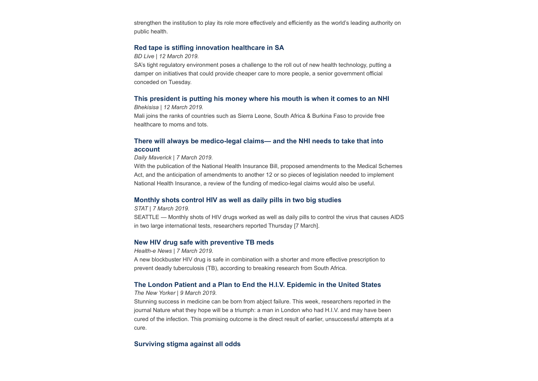strengthen the institution to play its role more effectively and efficiently as the world's leading authority on public health.

## **[Red tape is stifling innovation healthcare in SA](https://www.businesslive.co.za/bd/national/health/2019-03-12-red-tape-is-stifling-innovation-healthcare-in-sa/)**

### *BD Live | 12 March 2019.*

SA's tight regulatory environment poses a challenge to the roll out of new health technology, putting a damper on initiatives that could provide cheaper care to more people, a senior government official conceded on Tuesday.

## **[This president is putting his money where his mouth is when it comes to an NHI](https://bhekisisa.org/article/2019-03-12-00-mali-to-provide-free-healthcare-for-children-under-five-contraception?utm_source=Global+Health+NOW+Main+List&utm_campaign=9c4cdf8b76-EMAIL_CAMPAIGN_2019_03_12_12_37&utm_medium=email&utm_term=0_8d0d062dbd-9c4cdf8b76-2811001)**

*Bhekisisa | 12 March 2019.*

Mali joins the ranks of countries such as Sierra Leone, South Africa & Burkina Faso to provide free healthcare to moms and tots.

## **[There will always be medico-legal claims— and the NHI needs to take that into](https://www.dailymaverick.co.za/opinionista/2019-03-08-there-will-always-be-medico-legal-claims-and-the-nhi-needs-to-take-that-into-account/) account**

#### *Daily Maverick | 7 March 2019.*

With the publication of the National Health Insurance Bill, proposed amendments to the Medical Schemes Act, and the anticipation of amendments to another 12 or so pieces of legislation needed to implement National Health Insurance, a review of the funding of medico-legal claims would also be useful.

### **[Monthly shots control HIV as well as daily pills in two big studies](https://www.statnews.com/2019/03/07/monthly-shots-control-hiv-as-well-as-daily-pills-in-two-big-studies/?utm_source=STAT+Newsletters&utm_campaign=f3bd68afa0-Pharmalot&utm_medium=email&utm_term=0_8cab1d7961-f3bd68afa0-149648021)**

#### *STAT | 7 March 2019.*

SEATTLE — Monthly shots of HIV drugs worked as well as daily pills to control the virus that causes AIDS in two large international tests, researchers reported Thursday [7 March].

### **[New HIV drug safe with preventive TB meds](https://www.health-e.org.za/2019/03/07/new-hiv-drug-safe-with-preventive-tb-meds/)**

*Health-e News | 7 March 2019.*

A new blockbuster HIV drug is safe in combination with a shorter and more effective prescription to prevent deadly tuberculosis (TB), according to breaking research from South Africa.

### **[The London Patient and a Plan to End the H.I.V. Epidemic in the United States](https://www.newyorker.com/news/daily-comment/the-london-patient-and-a-plan-to-end-the-hiv-epidemic-in-the-united-states?utm_source=Global+Health+NOW+Main+List&utm_campaign=4f36c206bf-EMAIL_CAMPAIGN_2019_03_08_02_02&utm_medium=email&utm_term=0_8d0d062dbd-4f36c206bf-2811001)**

#### *The New Yorker | 9 March 2019.*

Stunning success in medicine can be born from abject failure. This week, researchers reported in the journal Nature what they hope will be a triumph: a man in London who had H.I.V. and may have been cured of the infection. This promising outcome is the direct result of earlier, unsuccessful attempts at a cure.

## **[Surviving stigma against all odds](https://www.health-e.org.za/2019/03/13/myth-and-stigma-undermine-treatment-adherence/)**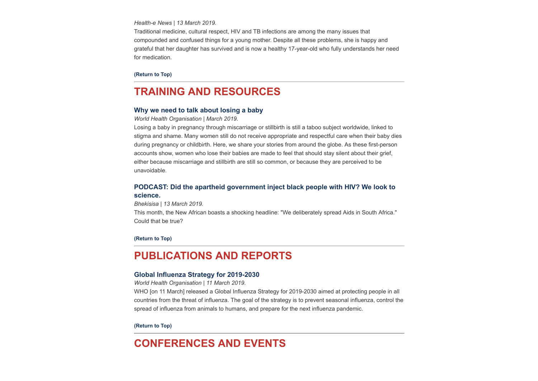*Health-e News | 13 March 2019.*

Traditional medicine, cultural respect, HIV and TB infections are among the many issues that compounded and confused things for a young mother. Despite all these problems, she is happy and grateful that her daughter has survived and is now a healthy 17-year-old who fully understands her need for medication.

**[\(Return to Top\)](#page-0-0)**

# <span id="page-4-0"></span>**TRAINING AND RESOURCES**

## **[Why we need to talk about losing a baby](https://www.who.int/maternal-health/why-we-need-to-talk-about-losing-a-baby)**

*World Health Organisation | March 2019.*

Losing a baby in pregnancy through miscarriage or stillbirth is still a taboo subject worldwide, linked to stigma and shame. Many women still do not receive appropriate and respectful care when their baby dies during pregnancy or childbirth. Here, we share your stories from around the globe. As these first-person accounts show, women who lose their babies are made to feel that should stay silent about their grief, either because miscarriage and stillbirth are still so common, or because they are perceived to be unavoidable.

## **[PODCAST: Did the apartheid government inject black people with HIV? We look to](https://bhekisisa.org/multimedia/2019-03-13-apartheid-could-not-have-played-a-role-in-the-differential-spread-of-hiv) science.**

#### *Bhekisisa | 13 March 2019.*

This month, the New African boasts a shocking headline: "We deliberately spread Aids in South Africa." Could that be true?

**[\(Return to Top\)](#page-0-0)**

## <span id="page-4-1"></span>**PUBLICATIONS AND REPORTS**

### **[Global Influenza Strategy for 2019-2030](http://www.hst.org.za/publications/NonHST%20Publications/Global%20Influenza%20Strategy.pdf)**

*World Health Organisation | 11 March 2019.*

WHO [on 11 March] released a Global Influenza Strategy for 2019-2030 aimed at protecting people in all countries from the threat of influenza. The goal of the strategy is to prevent seasonal influenza, control the spread of influenza from animals to humans, and prepare for the next influenza pandemic.

#### **[\(Return to Top\)](#page-0-0)**

# <span id="page-4-2"></span>**CONFERENCES AND EVENTS**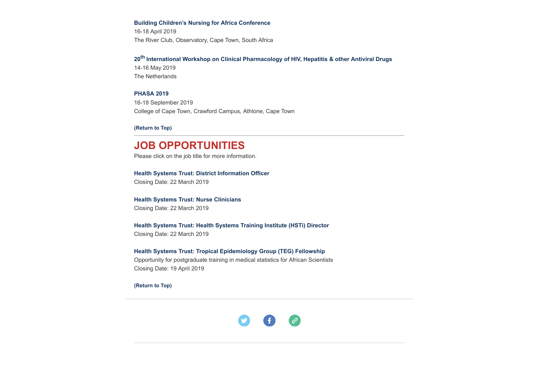#### **[Building Children's Nursing for Africa Conference](http://www.buildingchildrensnursing.co.za/index.php/tophome)**

16-18 April 2019 The River Club, Observatory, Cape Town, South Africa

## **20th [International Workshop on Clinical Pharmacology of HIV, Hepatitis & other Antiviral Drugs](http://www.hst.org.za/Lists/HST%20Events/DispForm.aspx?ID=46)**

14-16 May 2019 The Netherlands

## **[PHASA 2019](http://thandeka@confco.co.za/)**

16-18 September 2019 College of Cape Town, Crawford Campus, Athlone, Cape Town

**[\(Return to Top\)](#page-0-0)**

# **JOB OPPORTUNITIES**

Please click on the job title for more information.

## **[Health Systems Trust: District Information Officer](http://www.hst.org.za/Pages/District-Information-Officer-.aspx)**

Closing Date: 22 March 2019

### **[Health Systems Trust: Nurse Clinicians](http://www.hst.org.za/Pages/Nurse-Clinicians-.aspx)**

Closing Date: 22 March 2019

## **[Health Systems Trust: Health Systems Training Institute \(HSTi\) Director](http://www.hst.org.za/Pages/Director-%E2%80%93-Health-Systems-Training-Institute.aspx)** Closing Date: 22 March 2019

### **[Health Systems Trust: Tropical Epidemiology Group \(TEG\) Fellowship](http://www.hst.org.za/Pages/TROPICAL-EPIDEMIOLOGY-GROUP-(TEG)-FELLOWSHIP.aspx)**

Opportunity for postgraduate training in medical statistics for African Scientists Closing Date: 19 April 2019

**[\(Return to Top\)](#page-0-0)**